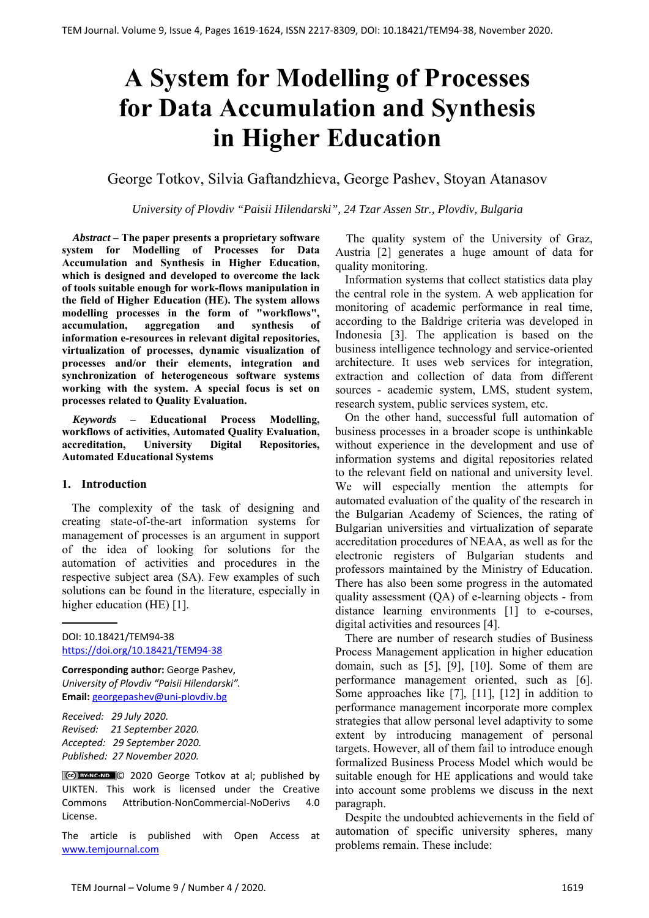# **A System for Modelling of Processes for Data Accumulation and Synthesis in Higher Education**

## George Totkov, Silvia Gaftandzhieva, George Pashev, Stoyan Atanasov

*University of Plovdiv "Paisii Hilendarski", 24 Tzar Assen Str., Plovdiv, Bulgaria*

*Abstract –* **The paper presents a proprietary software system for Modelling of Processes for Data Accumulation and Synthesis in Higher Education, which is designed and developed to overcome the lack of tools suitable enough for work-flows manipulation in the field of Higher Education (HE). The system allows modelling processes in the form of "workflows", accumulation, aggregation and synthesis of information e-resources in relevant digital repositories, virtualization of processes, dynamic visualization of processes and/or their elements, integration and synchronization of heterogeneous software systems working with the system. A special focus is set on processes related to Quality Evaluation.**

*Keywords –* **Educational Process Modelling, workflows of activities, Automated Quality Evaluation, accreditation, University Digital Repositories, Automated Educational Systems** 

#### **1. Introduction**

The complexity of the task of designing and creating state-of-the-art information systems for management of processes is an argument in support of the idea of looking for solutions for the automation of activities and procedures in the respective subject area (SA). Few examples of such solutions can be found in the literature, especially in higher education (HE) [1].

DOI: 10.18421/TEM94‐38 [https://doi.org/10.18421/TEM94](https://doi.org/10.18421/TEM94-38)-38

**Corresponding author:** George Pashev, *University of Plovdiv "Paisii Hilendarski".*  **Email:** georgepashev@uni‐plovdiv.bg

*Received: 29 July 2020. Revised: 21 September 2020. Accepted: 29 September 2020. Published: 27 November 2020.* 

© 2020 George Totkov at al; published by UIKTEN. This work is licensed under the Creative Commons Attribution‐NonCommercial‐NoDerivs 4.0 License.

The article is published with Open Access at www.temjournal.com

The quality system of the University of Graz, Austria [2] generates a huge amount of data for quality monitoring.

Information systems that collect statistics data play the central role in the system. A web application for monitoring of academic performance in real time, according to the Baldrige criteria was developed in Indonesia [3]. The application is based on the business intelligence technology and service-oriented architecture. It uses web services for integration, extraction and collection of data from different sources - academic system, LMS, student system, research system, public services system, etc.

On the other hand, successful full automation of business processes in a broader scope is unthinkable without experience in the development and use of information systems and digital repositories related to the relevant field on national and university level. We will especially mention the attempts for automated evaluation of the quality of the research in the Bulgarian Academy of Sciences, the rating of Bulgarian universities and virtualization of separate accreditation procedures of NEAA, as well as for the electronic registers of Bulgarian students and professors maintained by the Ministry of Education. There has also been some progress in the automated quality assessment (QA) of e-learning objects - from distance learning environments [1] to e-courses, digital activities and resources [4].

There are number of research studies of Business Process Management application in higher education domain, such as [5], [9], [10]. Some of them are performance management oriented, such as [6]. Some approaches like [7], [11], [12] in addition to performance management incorporate more complex strategies that allow personal level adaptivity to some extent by introducing management of personal targets. However, all of them fail to introduce enough formalized Business Process Model which would be suitable enough for HE applications and would take into account some problems we discuss in the next paragraph.

Despite the undoubted achievements in the field of automation of specific university spheres, many problems remain. These include: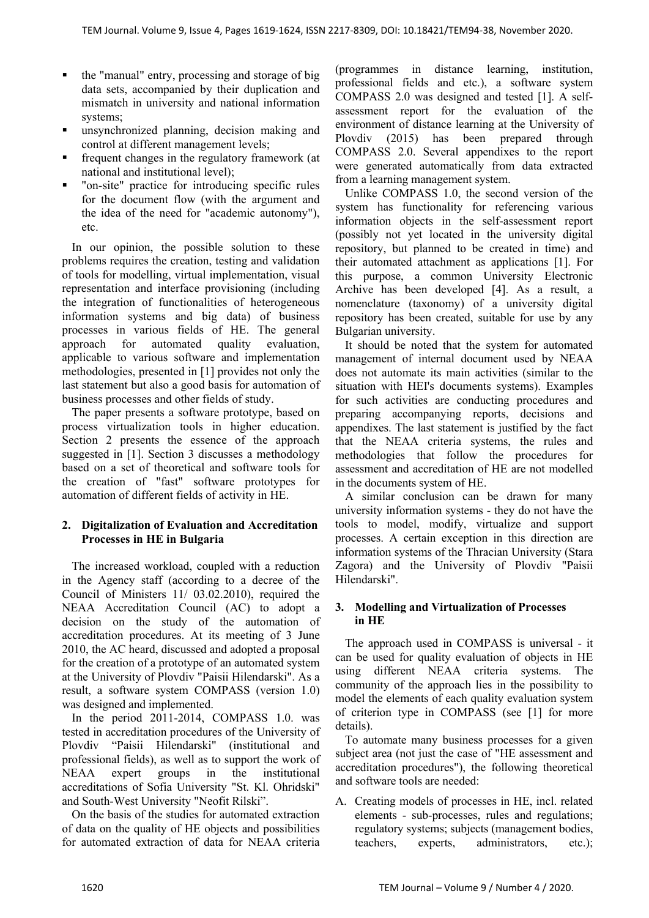- the "manual" entry, processing and storage of big data sets, accompanied by their duplication and mismatch in university and national information systems;
- unsynchronized planning, decision making and control at different management levels;
- frequent changes in the regulatory framework (at national and institutional level);
- "on-site" practice for introducing specific rules for the document flow (with the argument and the idea of the need for "academic autonomy"), etc.

In our opinion, the possible solution to these problems requires the creation, testing and validation of tools for modelling, virtual implementation, visual representation and interface provisioning (including the integration of functionalities of heterogeneous information systems and big data) of business processes in various fields of HE. The general approach for automated quality evaluation, applicable to various software and implementation methodologies, presented in [1] provides not only the last statement but also a good basis for automation of business processes and other fields of study.

The paper presents a software prototype, based on process virtualization tools in higher education. Section 2 presents the essence of the approach suggested in [1]. Section 3 discusses a methodology based on a set of theoretical and software tools for the creation of "fast" software prototypes for automation of different fields of activity in HE.

## **2. Digitalization of Evaluation and Accreditation Processes in HE in Bulgaria**

The increased workload, coupled with a reduction in the Agency staff (according to a decree of the Council of Ministers 11/ 03.02.2010), required the NEAA Accreditation Council (AC) to adopt a decision on the study of the automation of accreditation procedures. At its meeting of 3 June 2010, the AC heard, discussed and adopted a proposal for the creation of a prototype of an automated system at the University of Plovdiv "Paisii Hilendarski". As a result, a software system COMPASS (version 1.0) was designed and implemented.

In the period 2011-2014, COMPASS 1.0. was tested in accreditation procedures of the University of Plovdiv "Paisii Hilendarski" (institutional and professional fields), as well as to support the work of NEAA expert groups in the institutional accreditations of Sofia University "St. Kl. Ohridski" and South-West University "Neofit Rilski".

On the basis of the studies for automated extraction of data on the quality of HE objects and possibilities for automated extraction of data for NEAA criteria

(programmes in distance learning, institution, professional fields and etc.), a software system COMPASS 2.0 was designed and tested [1]. A selfassessment report for the evaluation of the environment of distance learning at the University of Plovdiv (2015) has been prepared through COMPASS 2.0. Several appendixes to the report were generated automatically from data extracted from a learning management system.

Unlike COMPASS 1.0, the second version of the system has functionality for referencing various information objects in the self-assessment report (possibly not yet located in the university digital repository, but planned to be created in time) and their automated attachment as applications [1]. For this purpose, a common University Electronic Archive has been developed [4]. As a result, a nomenclature (taxonomy) of a university digital repository has been created, suitable for use by any Bulgarian university.

It should be noted that the system for automated management of internal document used by NEAA does not automate its main activities (similar to the situation with HEI's documents systems). Examples for such activities are conducting procedures and preparing accompanying reports, decisions and appendixes. The last statement is justified by the fact that the NEAA criteria systems, the rules and methodologies that follow the procedures for assessment and accreditation of HE are not modelled in the documents system of HE.

A similar conclusion can be drawn for many university information systems - they do not have the tools to model, modify, virtualize and support processes. A certain exception in this direction are information systems of the Thracian University (Stara Zagora) and the University of Plovdiv "Paisii Hilendarski".

## **3. Modelling and Virtualization of Processes in HE**

The approach used in COMPASS is universal - it can be used for quality evaluation of objects in HE using different NEAA criteria systems. The community of the approach lies in the possibility to model the elements of each quality evaluation system of criterion type in COMPASS (see [1] for more details).

To automate many business processes for a given subject area (not just the case of "HE assessment and accreditation procedures"), the following theoretical and software tools are needed:

A. Creating models of processes in HE, incl. related elements - sub-processes, rules and regulations; regulatory systems; subjects (management bodies, teachers, experts, administrators, etc.);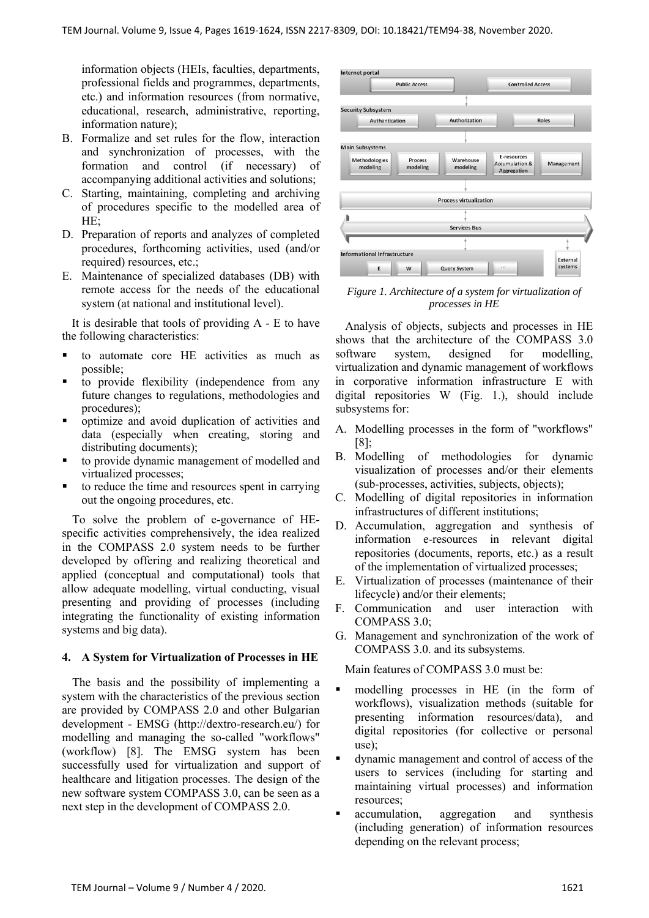information objects (HEIs, faculties, departments, professional fields and programmes, departments, etc.) and information resources (from normative, educational, research, administrative, reporting, information nature);

- B. Formalize and set rules for the flow, interaction and synchronization of processes, with the formation and control (if necessary) of accompanying additional activities and solutions;
- C. Starting, maintaining, completing and archiving of procedures specific to the modelled area of HE;
- D. Preparation of reports and analyzes of completed procedures, forthcoming activities, used (and/or required) resources, etc.;
- E. Maintenance of specialized databases (DB) with remote access for the needs of the educational system (at national and institutional level).

It is desirable that tools of providing  $A - E$  to have the following characteristics:

- to automate core HE activities as much as possible;
- to provide flexibility (independence from any future changes to regulations, methodologies and procedures);
- optimize and avoid duplication of activities and data (especially when creating, storing and distributing documents);
- to provide dynamic management of modelled and virtualized processes;
- to reduce the time and resources spent in carrying out the ongoing procedures, etc.

To solve the problem of e-governance of HEspecific activities comprehensively, the idea realized in the COMPASS 2.0 system needs to be further developed by offering and realizing theoretical and applied (conceptual and computational) tools that allow adequate modelling, virtual conducting, visual presenting and providing of processes (including integrating the functionality of existing information systems and big data).

### **4. A System for Virtualization of Processes in HE**

The basis and the possibility of implementing a system with the characteristics of the previous section are provided by COMPASS 2.0 and other Bulgarian development - EMSG (http://dextro-research.eu/) for modelling and managing the so-called "workflows" (workflow) [8]. The EMSG system has been successfully used for virtualization and support of healthcare and litigation processes. The design of the new software system COMPASS 3.0, can be seen as a next step in the development of COMPASS 2.0.



*Figure 1. Architecture of a system for virtualization of processes in HE* 

Analysis of objects, subjects and processes in HE shows that the architecture of the COMPASS 3.0 software system, designed for modelling, virtualization and dynamic management of workflows in corporative information infrastructure E with digital repositories W (Fig. 1.), should include subsystems for:

- A. Modelling processes in the form of "workflows" [8];
- B. Modelling of methodologies for dynamic visualization of processes and/or their elements (sub-processes, activities, subjects, objects);
- C. Modelling of digital repositories in information infrastructures of different institutions;
- D. Accumulation, aggregation and synthesis of information e-resources in relevant digital repositories (documents, reports, etc.) as a result of the implementation of virtualized processes;
- E. Virtualization of processes (maintenance of their lifecycle) and/or their elements;
- F. Communication and user interaction with COMPASS 3.0;
- G. Management and synchronization of the work of COMPASS 3.0. and its subsystems.

Main features of COMPASS 3.0 must be:

- modelling processes in HE (in the form of workflows), visualization methods (suitable for presenting information resources/data), and digital repositories (for collective or personal use);
- dynamic management and control of access of the users to services (including for starting and maintaining virtual processes) and information resources;
- accumulation, aggregation and synthesis (including generation) of information resources depending on the relevant process;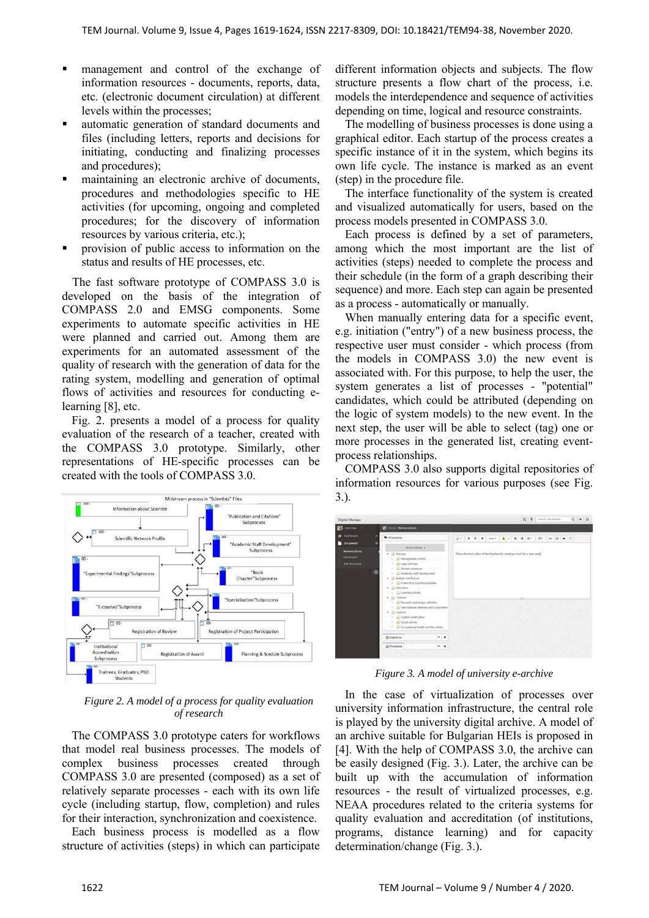- management and control of the exchange of information resources - documents, reports, data, etc. (electronic document circulation) at different levels within the processes;
- automatic generation of standard documents and files (including letters, reports and decisions for initiating, conducting and finalizing processes and procedures);
- maintaining an electronic archive of documents, procedures and methodologies specific to HE activities (for upcoming, ongoing and completed procedures; for the discovery of information resources by various criteria, etc.);
- provision of public access to information on the status and results of HE processes, etc.

The fast software prototype of COMPASS 3.0 is developed on the basis of the integration of COMPASS 2.0 and EMSG components. Some experiments to automate specific activities in HE were planned and carried out. Among them are experiments for an automated assessment of the quality of research with the generation of data for the rating system, modelling and generation of optimal flows of activities and resources for conducting elearning [8], etc.

Fig. 2. presents a model of a process for quality evaluation of the research of a teacher, created with the COMPASS 3.0 prototype. Similarly, other representations of HE-specific processes can be created with the tools of COMPASS 3.0.



*Figure 2. A model of a process for quality evaluation of research* 

The COMPASS 3.0 prototype caters for workflows that model real business processes. The models of complex business processes created through COMPASS 3.0 are presented (composed) as a set of relatively separate processes - each with its own life cycle (including startup, flow, completion) and rules for their interaction, synchronization and coexistence.

Each business process is modelled as a flow structure of activities (steps) in which can participate different information objects and subjects. The flow structure presents a flow chart of the process, i.e. models the interdependence and sequence of activities depending on time, logical and resource constraints.

The modelling of business processes is done using a graphical editor. Each startup of the process creates a specific instance of it in the system, which begins its own life cycle. The instance is marked as an event (step) in the procedure file.

The interface functionality of the system is created and visualized automatically for users, based on the process models presented in COMPASS 3.0.

Each process is defined by a set of parameters, among which the most important are the list of activities (steps) needed to complete the process and their schedule (in the form of a graph describing their sequence) and more. Each step can again be presented as a process - automatically or manually.

When manually entering data for a specific event, e.g. initiation ("entry") of a new business process, the respective user must consider - which process (from the models in COMPASS 3.0) the new event is associated with. For this purpose, to help the user, the system generates a list of processes - "potential" candidates, which could be attributed (depending on the logic of system models) to the new event. In the next step, the user will be able to select (tag) one or more processes in the generated list, creating eventprocess relationships.

COMPASS 3.0 also supports digital repositories of information resources for various purposes (see Fig. 3.).

| <b>Digital Storage</b>                                       |                                                                                                                                                                                                                                                                                                                                                                                                                                                  | X & Search documents<br>$Q \neq \equiv$                                      |
|--------------------------------------------------------------|--------------------------------------------------------------------------------------------------------------------------------------------------------------------------------------------------------------------------------------------------------------------------------------------------------------------------------------------------------------------------------------------------------------------------------------------------|------------------------------------------------------------------------------|
| advance -                                                    | <b>C</b> Home / Nomenclatures                                                                                                                                                                                                                                                                                                                                                                                                                    |                                                                              |
| <b>B</b> Dashboard<br><b>Documents</b><br>$\circ$            | <b>O</b> Procedures<br>Nonenciature +                                                                                                                                                                                                                                                                                                                                                                                                            |                                                                              |
| Nomenclatures<br><b>Documents</b><br>A&I document<br>$\circ$ | Li Manage<br>٠<br>7  Management activity<br><b>Lagal services</b><br>1 3 Haman resources<br>1 22 Academic staff development<br>. Budget and finance<br>1 C Financial accounting activities<br>· Education<br><b>E.</b> Learning activity<br>. E Some<br>> El Research and design activities<br>1 3 International relations and cooperation<br>· Clopitics<br>Capital construction<br>3 (2) Social activity<br>Computional health and fire safety | This is the text editor of the function for creating a text for a tree node. |
|                                                              | @ Export as<br>$-1$                                                                                                                                                                                                                                                                                                                                                                                                                              |                                                                              |
|                                                              | <b>C</b> Processes<br>×                                                                                                                                                                                                                                                                                                                                                                                                                          |                                                                              |

*Figure 3. A model of university e-archive* 

In the case of virtualization of processes over university information infrastructure, the central role is played by the university digital archive. A model of an archive suitable for Bulgarian HEIs is proposed in [4]. With the help of COMPASS 3.0, the archive can be easily designed (Fig. 3.). Later, the archive can be built up with the accumulation of information resources - the result of virtualized processes, e.g. NEAA procedures related to the criteria systems for quality evaluation and accreditation (of institutions, programs, distance learning) and for capacity determination/change (Fig. 3.).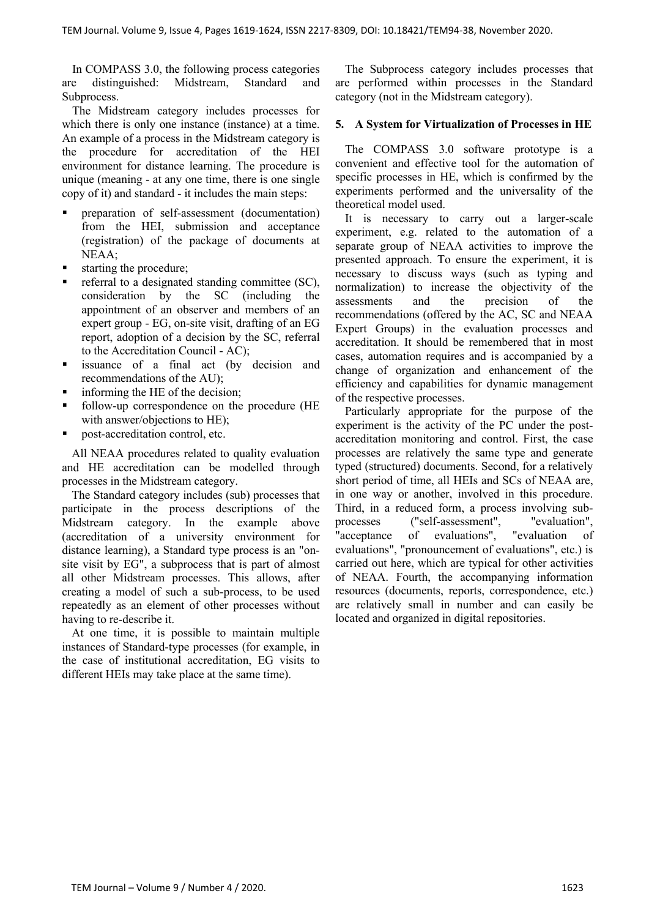In COMPASS 3.0, the following process categories are distinguished: Midstream, Standard and Subprocess.

The Midstream category includes processes for which there is only one instance (instance) at a time. An example of a process in the Midstream category is the procedure for accreditation of the HEI environment for distance learning. The procedure is unique (meaning - at any one time, there is one single copy of it) and standard - it includes the main steps:

- preparation of self-assessment (documentation) from the HEI, submission and acceptance (registration) of the package of documents at NEAA;
- starting the procedure;
- referral to a designated standing committee (SC), consideration by the SC (including the appointment of an observer and members of an expert group - EG, on-site visit, drafting of an EG report, adoption of a decision by the SC, referral to the Accreditation Council - AC);
- issuance of a final act (by decision and recommendations of the AU);
- informing the HE of the decision;
- follow-up correspondence on the procedure (HE with answer/objections to HE);
- post-accreditation control, etc.

All NEAA procedures related to quality evaluation and HE accreditation can be modelled through processes in the Midstream category.

The Standard category includes (sub) processes that participate in the process descriptions of the Midstream category. In the example above (accreditation of a university environment for distance learning), a Standard type process is an "onsite visit by EG", a subprocess that is part of almost all other Midstream processes. This allows, after creating a model of such a sub-process, to be used repeatedly as an element of other processes without having to re-describe it.

At one time, it is possible to maintain multiple instances of Standard-type processes (for example, in the case of institutional accreditation, EG visits to different HEIs may take place at the same time).

The Subprocess category includes processes that are performed within processes in the Standard category (not in the Midstream category).

#### **5. A System for Virtualization of Processes in HE**

The COMPASS 3.0 software prototype is a convenient and effective tool for the automation of specific processes in HE, which is confirmed by the experiments performed and the universality of the theoretical model used.

It is necessary to carry out a larger-scale experiment, e.g. related to the automation of a separate group of NEAA activities to improve the presented approach. To ensure the experiment, it is necessary to discuss ways (such as typing and normalization) to increase the objectivity of the assessments and the precision of the recommendations (offered by the AC, SC and NEAA Expert Groups) in the evaluation processes and accreditation. It should be remembered that in most cases, automation requires and is accompanied by a change of organization and enhancement of the efficiency and capabilities for dynamic management of the respective processes.

Particularly appropriate for the purpose of the experiment is the activity of the PC under the postaccreditation monitoring and control. First, the case processes are relatively the same type and generate typed (structured) documents. Second, for a relatively short period of time, all HEIs and SCs of NEAA are, in one way or another, involved in this procedure. Third, in a reduced form, a process involving subprocesses ("self-assessment", "evaluation", "acceptance of evaluations", "evaluation of evaluations", "pronouncement of evaluations", etc.) is carried out here, which are typical for other activities of NEAA. Fourth, the accompanying information resources (documents, reports, correspondence, etc.) are relatively small in number and can easily be located and organized in digital repositories.